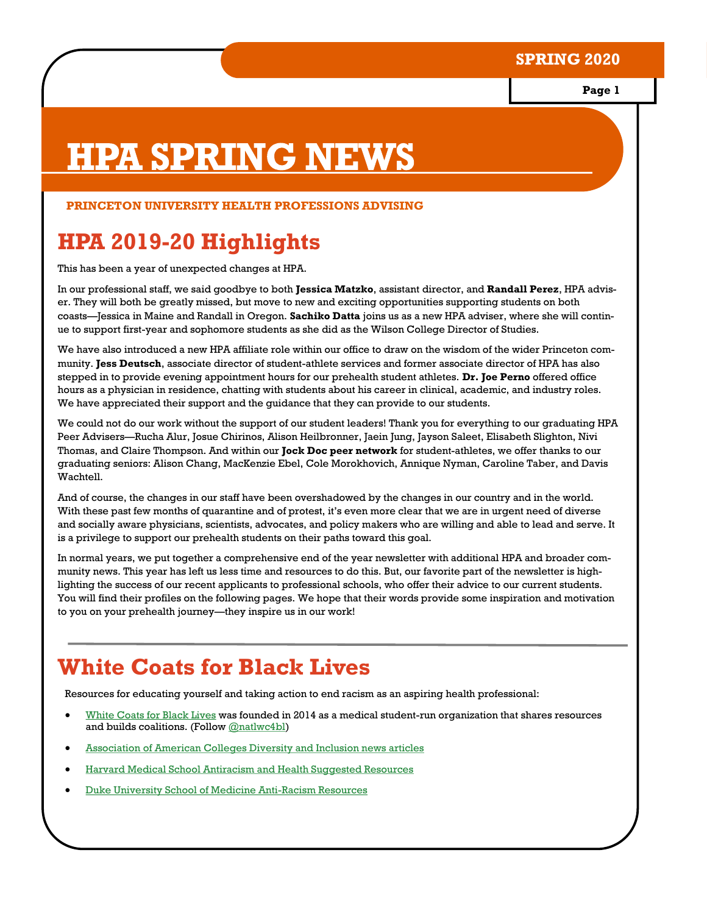**Page 1**

# **HPA SPRING NEWS**

#### **PRINCETON UNIVERSITY HEALTH PROFESSIONS ADVISING**

## **HPA 2019-20 Highlights**

This has been a year of unexpected changes at HPA.

In our professional staff, we said goodbye to both **Jessica Matzko**, assistant director, and **Randall Perez**, HPA adviser. They will both be greatly missed, but move to new and exciting opportunities supporting students on both coasts—Jessica in Maine and Randall in Oregon. **Sachiko Datta** joins us as a new HPA adviser, where she will continue to support first-year and sophomore students as she did as the Wilson College Director of Studies.

We have also introduced a new HPA affiliate role within our office to draw on the wisdom of the wider Princeton community. **Jess Deutsch**, associate director of student-athlete services and former associate director of HPA has also stepped in to provide evening appointment hours for our prehealth student athletes. **Dr. Joe Perno** offered office hours as a physician in residence, chatting with students about his career in clinical, academic, and industry roles. We have appreciated their support and the guidance that they can provide to our students.

We could not do our work without the support of our student leaders! Thank you for everything to our graduating HPA Peer Advisers—Rucha Alur, Josue Chirinos, Alison Heilbronner, Jaein Jung, Jayson Saleet, Elisabeth Slighton, Nivi Thomas, and Claire Thompson. And within our **Jock Doc peer network** for student-athletes, we offer thanks to our graduating seniors: Alison Chang, MacKenzie Ebel, Cole Morokhovich, Annique Nyman, Caroline Taber, and Davis Wachtell.

And of course, the changes in our staff have been overshadowed by the changes in our country and in the world. With these past few months of quarantine and of protest, it's even more clear that we are in urgent need of diverse and socially aware physicians, scientists, advocates, and policy makers who are willing and able to lead and serve. It is a privilege to support our prehealth students on their paths toward this goal.

In normal years, we put together a comprehensive end of the year newsletter with additional HPA and broader community news. This year has left us less time and resources to do this. But, our favorite part of the newsletter is highlighting the success of our recent applicants to professional schools, who offer their advice to our current students. You will find their profiles on the following pages. We hope that their words provide some inspiration and motivation to you on your prehealth journey—they inspire us in our work!

## **White Coats for Black Lives**

Resources for educating yourself and taking action to end racism as an aspiring health professional:

- [White Coats for Black Lives](https://whitecoats4blacklives.org/) was founded in 2014 as a medical student-run organization that shares resources and builds coalitions. (Follow [@natlwc4bl\)](https://twitter.com/natlwc4bl)
- [Association of American Colleges Diversity and Inclusion news articles](https://www.aamc.org/news-insights/find-news?aamc_form=&keys=&field_subtype_target_id=All&field_topic_target_id=156&node_external_publication_date=All)
- [Harvard Medical School Antiracism and Health Suggested Resources](https://countway.harvard.edu/news/black-lives-matter-antiracism-health-suggested-resources)
- [Duke University School of Medicine Anti-Racism Resources](https://countway.harvard.edu/news/black-lives-matter-antiracism-health-suggested-resources)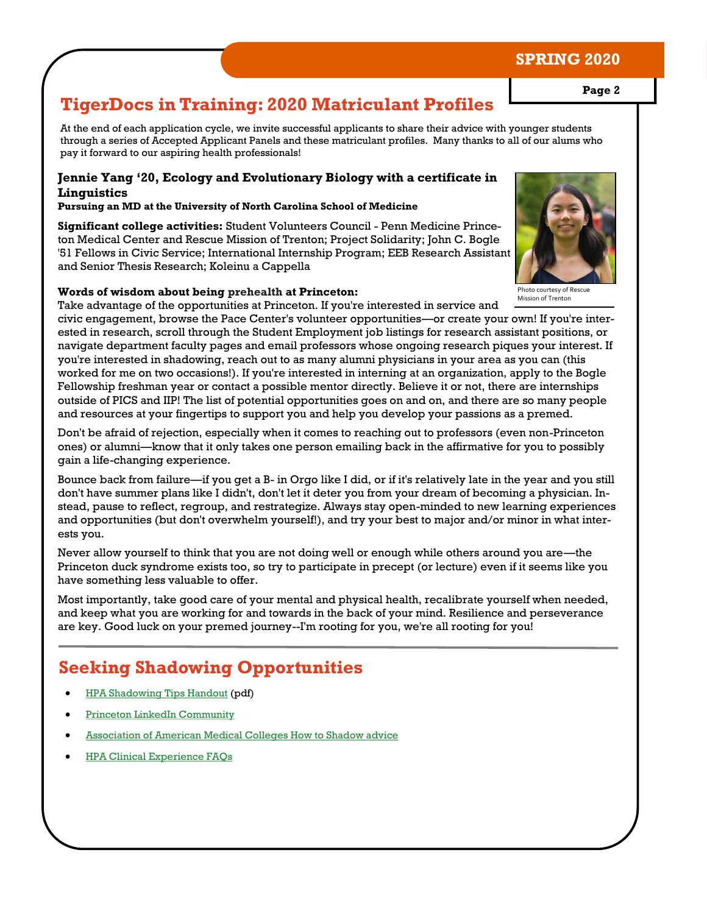## **TigerDocs in Training: 2020 Matriculant Profiles**

At the end of each application cycle, we invite successful applicants to share their advice with younger students through a series of Accepted Applicant Panels and these matriculant profiles. Many thanks to all of our alums who pay it forward to our aspiring health professionals!

#### **Jennie Yang '20, Ecology and Evolutionary Biology with a certificate in Linguistics**

**Pursuing an MD at the University of North Carolina School of Medicine**

**Significant college activities:** Student Volunteers Council - Penn Medicine Princeton Medical Center and Rescue Mission of Trenton; Project Solidarity; John C. Bogle '51 Fellows in Civic Service; International Internship Program; EEB Research Assistant and Senior Thesis Research; Koleinu a Cappella

#### **Words of wisdom about being prehealth at Princeton:**

Take advantage of the opportunities at Princeton. If you're interested in service and

civic engagement, browse the Pace Center's volunteer opportunities—or create your own! If you're interested in research, scroll through the Student Employment job listings for research assistant positions, or navigate department faculty pages and email professors whose ongoing research piques your interest. If you're interested in shadowing, reach out to as many alumni physicians in your area as you can (this worked for me on two occasions!). If you're interested in interning at an organization, apply to the Bogle Fellowship freshman year or contact a possible mentor directly. Believe it or not, there are internships outside of PICS and IIP! The list of potential opportunities goes on and on, and there are so many people and resources at your fingertips to support you and help you develop your passions as a premed.

Don't be afraid of rejection, especially when it comes to reaching out to professors (even non-Princeton ones) or alumni—know that it only takes one person emailing back in the affirmative for you to possibly gain a life-changing experience.

Bounce back from failure—if you get a B- in Orgo like I did, or if it's relatively late in the year and you still don't have summer plans like I didn't, don't let it deter you from your dream of becoming a physician. Instead, pause to reflect, regroup, and restrategize. Always stay open-minded to new learning experiences and opportunities (but don't overwhelm yourself!), and try your best to major and/or minor in what interests you.

Never allow yourself to think that you are not doing well or enough while others around you are—the Princeton duck syndrome exists too, so try to participate in precept (or lecture) even if it seems like you have something less valuable to offer.

Most importantly, take good care of your mental and physical health, recalibrate yourself when needed, and keep what you are working for and towards in the back of your mind. Resilience and perseverance are key. Good luck on your premed journey--I'm rooting for you, we're all rooting for you!

## **Seeking Shadowing Opportunities**

- [HPA Shadowing Tips Handout](https://hpa.princeton.edu/sites/hpa/files/2018hpa-shadowingtips.pdf) (pdf)
- [Princeton LinkedIn Community](https://www.linkedin.com/school/princeton-university/people/)
- [Association of American Medical Colleges How to Shadow advice](https://students-residents.aamc.org/applying-medical-school/article/shadowing-doctor/)
- [HPA Clinical Experience FAQs](https://hpa.princeton.edu/faqs/activities-faq/clinical-experience)

Photo courtesy of Rescue

Mission of Trenton

## **SPRING 2020**

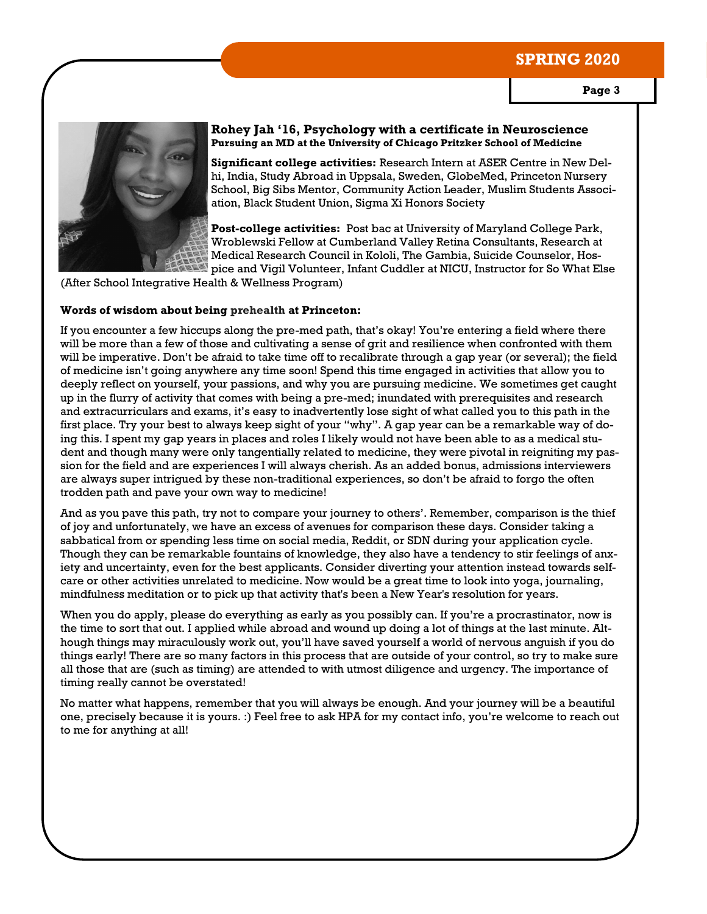

#### **Rohey Jah '16, Psychology with a certificate in Neuroscience Pursuing an MD at the University of Chicago Pritzker School of Medicine**

**Significant college activities:** Research Intern at ASER Centre in New Delhi, India, Study Abroad in Uppsala, Sweden, GlobeMed, Princeton Nursery School, Big Sibs Mentor, Community Action Leader, Muslim Students Association, Black Student Union, Sigma Xi Honors Society

**Post-college activities:** Post bac at University of Maryland College Park, Wroblewski Fellow at Cumberland Valley Retina Consultants, Research at Medical Research Council in Kololi, The Gambia, Suicide Counselor, Hospice and Vigil Volunteer, Infant Cuddler at NICU, Instructor for So What Else

(After School Integrative Health & Wellness Program)

#### **Words of wisdom about being prehealth at Princeton:**

If you encounter a few hiccups along the pre-med path, that's okay! You're entering a field where there will be more than a few of those and cultivating a sense of grit and resilience when confronted with them will be imperative. Don't be afraid to take time off to recalibrate through a gap year (or several); the field of medicine isn't going anywhere any time soon! Spend this time engaged in activities that allow you to deeply reflect on yourself, your passions, and why you are pursuing medicine. We sometimes get caught up in the flurry of activity that comes with being a pre-med; inundated with prerequisites and research and extracurriculars and exams, it's easy to inadvertently lose sight of what called you to this path in the first place. Try your best to always keep sight of your "why". A gap year can be a remarkable way of doing this. I spent my gap years in places and roles I likely would not have been able to as a medical student and though many were only tangentially related to medicine, they were pivotal in reigniting my passion for the field and are experiences I will always cherish. As an added bonus, admissions interviewers are always super intrigued by these non-traditional experiences, so don't be afraid to forgo the often trodden path and pave your own way to medicine!

And as you pave this path, try not to compare your journey to others'. Remember, comparison is the thief of joy and unfortunately, we have an excess of avenues for comparison these days. Consider taking a sabbatical from or spending less time on social media, Reddit, or SDN during your application cycle. Though they can be remarkable fountains of knowledge, they also have a tendency to stir feelings of anxiety and uncertainty, even for the best applicants. Consider diverting your attention instead towards selfcare or other activities unrelated to medicine. Now would be a great time to look into yoga, journaling, mindfulness meditation or to pick up that activity that's been a New Year's resolution for years.

When you do apply, please do everything as early as you possibly can. If you're a procrastinator, now is the time to sort that out. I applied while abroad and wound up doing a lot of things at the last minute. Although things may miraculously work out, you'll have saved yourself a world of nervous anguish if you do things early! There are so many factors in this process that are outside of your control, so try to make sure all those that are (such as timing) are attended to with utmost diligence and urgency. The importance of timing really cannot be overstated!

No matter what happens, remember that you will always be enough. And your journey will be a beautiful one, precisely because it is yours. :) Feel free to ask HPA for my contact info, you're welcome to reach out to me for anything at all!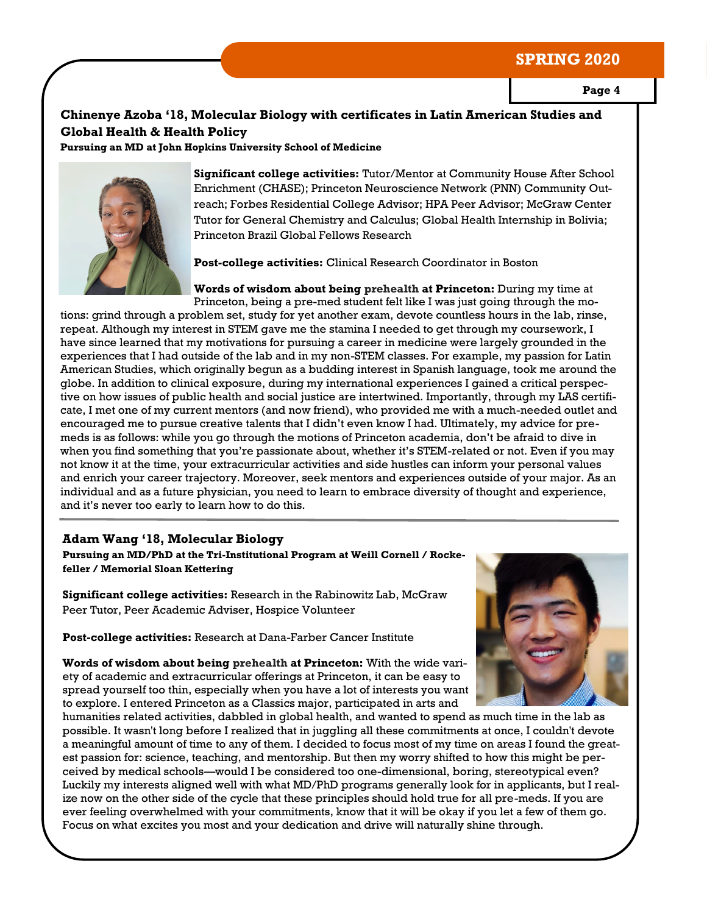**Page 4**

#### **Chinenye Azoba '18, Molecular Biology with certificates in Latin American Studies and Global Health & Health Policy**

**Pursuing an MD at John Hopkins University School of Medicine** 



**Significant college activities:** Tutor/Mentor at Community House After School Enrichment (CHASE); Princeton Neuroscience Network (PNN) Community Outreach; Forbes Residential College Advisor; HPA Peer Advisor; McGraw Center Tutor for General Chemistry and Calculus; Global Health Internship in Bolivia; Princeton Brazil Global Fellows Research

**Post-college activities:** Clinical Research Coordinator in Boston

**Words of wisdom about being prehealth at Princeton:** During my time at Princeton, being a pre-med student felt like I was just going through the motions: grind through a problem set, study for yet another exam, devote countless hours in the lab, rinse, repeat. Although my interest in STEM gave me the stamina I needed to get through my coursework, I have since learned that my motivations for pursuing a career in medicine were largely grounded in the experiences that I had outside of the lab and in my non-STEM classes. For example, my passion for Latin American Studies, which originally begun as a budding interest in Spanish language, took me around the globe. In addition to clinical exposure, during my international experiences I gained a critical perspective on how issues of public health and social justice are intertwined. Importantly, through my LAS certificate, I met one of my current mentors (and now friend), who provided me with a much-needed outlet and encouraged me to pursue creative talents that I didn't even know I had. Ultimately, my advice for premeds is as follows: while you go through the motions of Princeton academia, don't be afraid to dive in when you find something that you're passionate about, whether it's STEM-related or not. Even if you may not know it at the time, your extracurricular activities and side hustles can inform your personal values and enrich your career trajectory. Moreover, seek mentors and experiences outside of your major. As an individual and as a future physician, you need to learn to embrace diversity of thought and experience, and it's never too early to learn how to do this.

#### **Adam Wang '18, Molecular Biology**

**Pursuing an MD/PhD at the Tri-Institutional Program at Weill Cornell / Rockefeller / Memorial Sloan Kettering** 

**Significant college activities:** Research in the Rabinowitz Lab, McGraw Peer Tutor, Peer Academic Adviser, Hospice Volunteer

**Post-college activities:** Research at Dana-Farber Cancer Institute

**Words of wisdom about being prehealth at Princeton:** With the wide variety of academic and extracurricular offerings at Princeton, it can be easy to spread yourself too thin, especially when you have a lot of interests you want to explore. I entered Princeton as a Classics major, participated in arts and

humanities related activities, dabbled in global health, and wanted to spend as much time in the lab as possible. It wasn't long before I realized that in juggling all these commitments at once, I couldn't devote a meaningful amount of time to any of them. I decided to focus most of my time on areas I found the greatest passion for: science, teaching, and mentorship. But then my worry shifted to how this might be perceived by medical schools—would I be considered too one-dimensional, boring, stereotypical even? Luckily my interests aligned well with what MD/PhD programs generally look for in applicants, but I realize now on the other side of the cycle that these principles should hold true for all pre-meds. If you are ever feeling overwhelmed with your commitments, know that it will be okay if you let a few of them go. Focus on what excites you most and your dedication and drive will naturally shine through.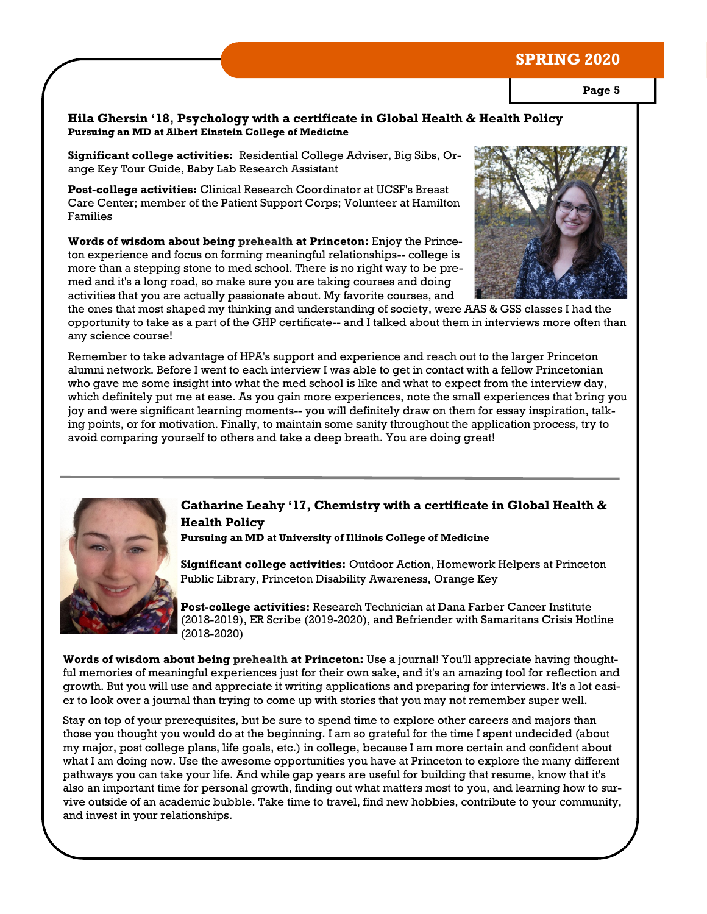**Page 5**

#### **Hila Ghersin '18, Psychology with a certificate in Global Health & Health Policy Pursuing an MD at Albert Einstein College of Medicine**

**Significant college activities:** Residential College Adviser, Big Sibs, Orange Key Tour Guide, Baby Lab Research Assistant

**Post-college activities:** Clinical Research Coordinator at UCSF's Breast Care Center; member of the Patient Support Corps; Volunteer at Hamilton Families

**Words of wisdom about being prehealth at Princeton:** Enjoy the Princeton experience and focus on forming meaningful relationships-- college is more than a stepping stone to med school. There is no right way to be premed and it's a long road, so make sure you are taking courses and doing activities that you are actually passionate about. My favorite courses, and



the ones that most shaped my thinking and understanding of society, were AAS & GSS classes I had the opportunity to take as a part of the GHP certificate-- and I talked about them in interviews more often than any science course!

Remember to take advantage of HPA's support and experience and reach out to the larger Princeton alumni network. Before I went to each interview I was able to get in contact with a fellow Princetonian who gave me some insight into what the med school is like and what to expect from the interview day, which definitely put me at ease. As you gain more experiences, note the small experiences that bring you joy and were significant learning moments-- you will definitely draw on them for essay inspiration, talking points, or for motivation. Finally, to maintain some sanity throughout the application process, try to avoid comparing yourself to others and take a deep breath. You are doing great!



#### **Catharine Leahy '17, Chemistry with a certificate in Global Health & Health Policy**

**Pursuing an MD at University of Illinois College of Medicine**

**Significant college activities:** Outdoor Action, Homework Helpers at Princeton Public Library, Princeton Disability Awareness, Orange Key

**Post-college activities:** Research Technician at Dana Farber Cancer Institute (2018-2019), ER Scribe (2019-2020), and Befriender with Samaritans Crisis Hotline (2018-2020)

**Words of wisdom about being prehealth at Princeton:** Use a journal! You'll appreciate having thoughtful memories of meaningful experiences just for their own sake, and it's an amazing tool for reflection and growth. But you will use and appreciate it writing applications and preparing for interviews. It's a lot easier to look over a journal than trying to come up with stories that you may not remember super well.

Stay on top of your prerequisites, but be sure to spend time to explore other careers and majors than those you thought you would do at the beginning. I am so grateful for the time I spent undecided (about my major, post college plans, life goals, etc.) in college, because I am more certain and confident about what I am doing now. Use the awesome opportunities you have at Princeton to explore the many different pathways you can take your life. And while gap years are useful for building that resume, know that it's also an important time for personal growth, finding out what matters most to you, and learning how to survive outside of an academic bubble. Take time to travel, find new hobbies, contribute to your community, and invest in your relationships.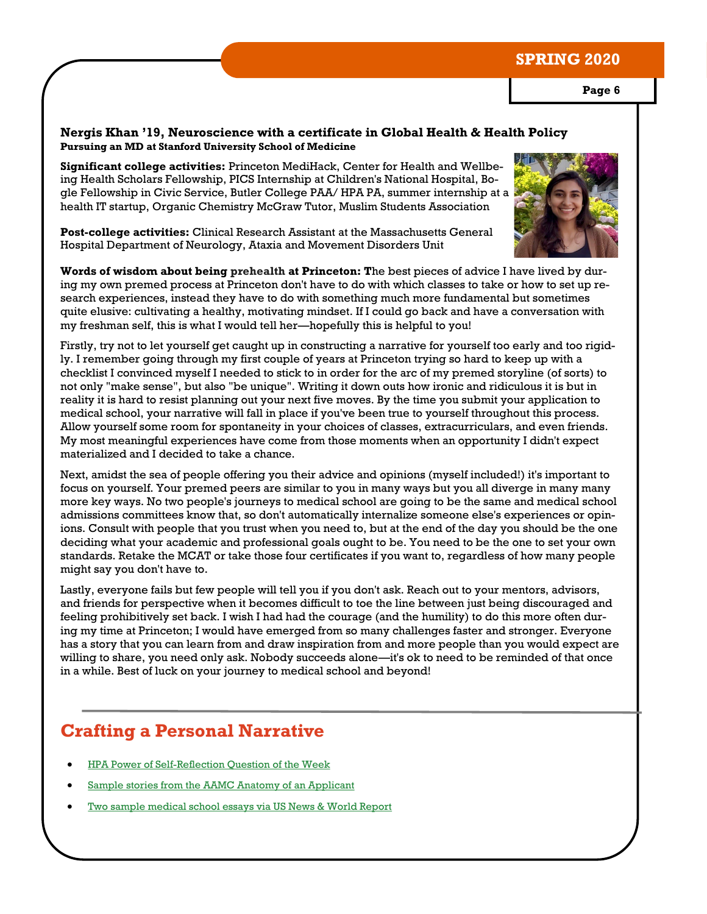#### **Nergis Khan '19, Neuroscience with a certificate in Global Health & Health Policy Pursuing an MD at Stanford University School of Medicine**

**Significant college activities:** Princeton MediHack, Center for Health and Wellbeing Health Scholars Fellowship, PICS Internship at Children's National Hospital, Bogle Fellowship in Civic Service, Butler College PAA/ HPA PA, summer internship at a health IT startup, Organic Chemistry McGraw Tutor, Muslim Students Association

**Post-college activities:** Clinical Research Assistant at the Massachusetts General Hospital Department of Neurology, Ataxia and Movement Disorders Unit

**Words of wisdom about being prehealth at Princeton: T**he best pieces of advice I have lived by during my own premed process at Princeton don't have to do with which classes to take or how to set up research experiences, instead they have to do with something much more fundamental but sometimes quite elusive: cultivating a healthy, motivating mindset. If I could go back and have a conversation with my freshman self, this is what I would tell her—hopefully this is helpful to you!

Firstly, try not to let yourself get caught up in constructing a narrative for yourself too early and too rigidly. I remember going through my first couple of years at Princeton trying so hard to keep up with a checklist I convinced myself I needed to stick to in order for the arc of my premed storyline (of sorts) to not only "make sense", but also "be unique". Writing it down outs how ironic and ridiculous it is but in reality it is hard to resist planning out your next five moves. By the time you submit your application to medical school, your narrative will fall in place if you've been true to yourself throughout this process. Allow yourself some room for spontaneity in your choices of classes, extracurriculars, and even friends. My most meaningful experiences have come from those moments when an opportunity I didn't expect materialized and I decided to take a chance.

Next, amidst the sea of people offering you their advice and opinions (myself included!) it's important to focus on yourself. Your premed peers are similar to you in many ways but you all diverge in many many more key ways. No two people's journeys to medical school are going to be the same and medical school admissions committees know that, so don't automatically internalize someone else's experiences or opinions. Consult with people that you trust when you need to, but at the end of the day you should be the one deciding what your academic and professional goals ought to be. You need to be the one to set your own standards. Retake the MCAT or take those four certificates if you want to, regardless of how many people might say you don't have to.

Lastly, everyone fails but few people will tell you if you don't ask. Reach out to your mentors, advisors, and friends for perspective when it becomes difficult to toe the line between just being discouraged and feeling prohibitively set back. I wish I had had the courage (and the humility) to do this more often during my time at Princeton; I would have emerged from so many challenges faster and stronger. Everyone has a story that you can learn from and draw inspiration from and more people than you would expect are willing to share, you need only ask. Nobody succeeds alone—it's ok to need to be reminded of that once in a while. Best of luck on your journey to medical school and beyond!

## **Crafting a Personal Narrative**

- [HPA Power of Self-Reflection Question of the Week](https://hpa.princeton.edu/news/question-week-power-self-reflection)
- [Sample stories from the AAMC Anatomy of an Applicant](https://students-residents.aamc.org/applying-medical-school/preparing-med-school/anatomy-applicant/)
- [Two sample medical school essays via US News & World Report](https://www.usnews.com/education/best-graduate-schools/top-medical-schools/articles/2017-06-12/2-medical-school-essays-that-admissions-officers-loved)

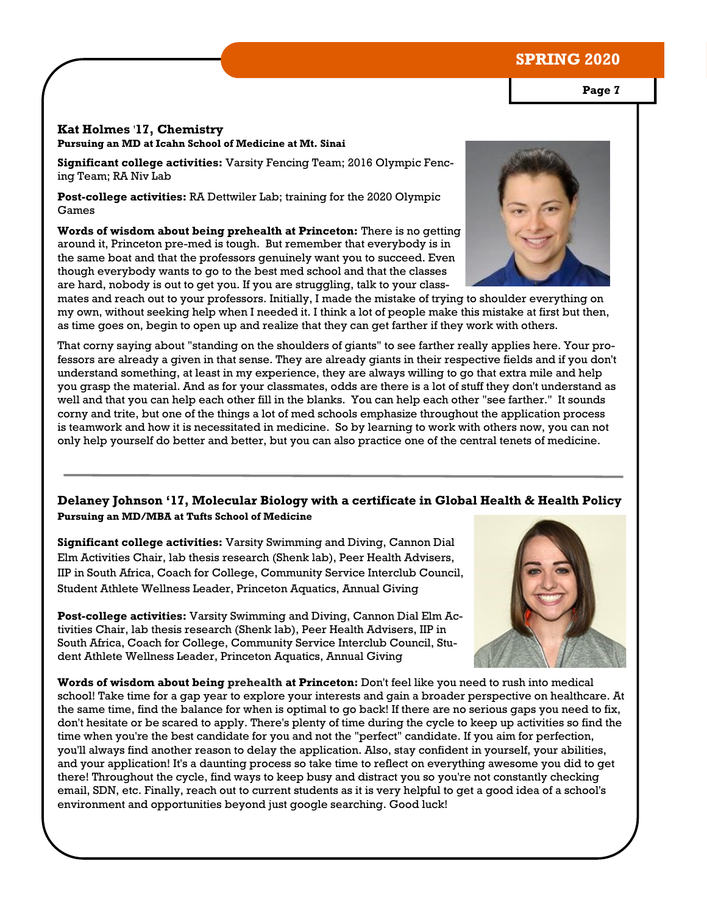#### **Kat Holmes** '**17, Chemistry**

**Pursuing an MD at Icahn School of Medicine at Mt. Sinai**

**Significant college activities:** Varsity Fencing Team; 2016 Olympic Fencing Team; RA Niv Lab

**Post-college activities:** RA Dettwiler Lab; training for the 2020 Olympic Games

**Words of wisdom about being prehealth at Princeton:** There is no getting around it, Princeton pre-med is tough. But remember that everybody is in the same boat and that the professors genuinely want you to succeed. Even though everybody wants to go to the best med school and that the classes are hard, nobody is out to get you. If you are struggling, talk to your class-

mates and reach out to your professors. Initially, I made the mistake of trying to shoulder everything on my own, without seeking help when I needed it. I think a lot of people make this mistake at first but then, as time goes on, begin to open up and realize that they can get farther if they work with others.

That corny saying about "standing on the shoulders of giants" to see farther really applies here. Your professors are already a given in that sense. They are already giants in their respective fields and if you don't understand something, at least in my experience, they are always willing to go that extra mile and help you grasp the material. And as for your classmates, odds are there is a lot of stuff they don't understand as well and that you can help each other fill in the blanks. You can help each other "see farther." It sounds corny and trite, but one of the things a lot of med schools emphasize throughout the application process is teamwork and how it is necessitated in medicine. So by learning to work with others now, you can not only help yourself do better and better, but you can also practice one of the central tenets of medicine.

#### **Delaney Johnson '17, Molecular Biology with a certificate in Global Health & Health Policy Pursuing an MD/MBA at Tufts School of Medicine**

**Significant college activities:** Varsity Swimming and Diving, Cannon Dial Elm Activities Chair, lab thesis research (Shenk lab), Peer Health Advisers, IIP in South Africa, Coach for College, Community Service Interclub Council, Student Athlete Wellness Leader, Princeton Aquatics, Annual Giving

**Post-college activities:** Varsity Swimming and Diving, Cannon Dial Elm Activities Chair, lab thesis research (Shenk lab), Peer Health Advisers, IIP in South Africa, Coach for College, Community Service Interclub Council, Student Athlete Wellness Leader, Princeton Aquatics, Annual Giving

**Words of wisdom about being prehealth at Princeton:** Don't feel like you need to rush into medical school! Take time for a gap year to explore your interests and gain a broader perspective on healthcare. At the same time, find the balance for when is optimal to go back! If there are no serious gaps you need to fix, don't hesitate or be scared to apply. There's plenty of time during the cycle to keep up activities so find the time when you're the best candidate for you and not the "perfect" candidate. If you aim for perfection, you'll always find another reason to delay the application. Also, stay confident in yourself, your abilities, and your application! It's a daunting process so take time to reflect on everything awesome you did to get there! Throughout the cycle, find ways to keep busy and distract you so you're not constantly checking email, SDN, etc. Finally, reach out to current students as it is very helpful to get a good idea of a school's environment and opportunities beyond just google searching. Good luck!

**Page 7**





## **SPRING 2020**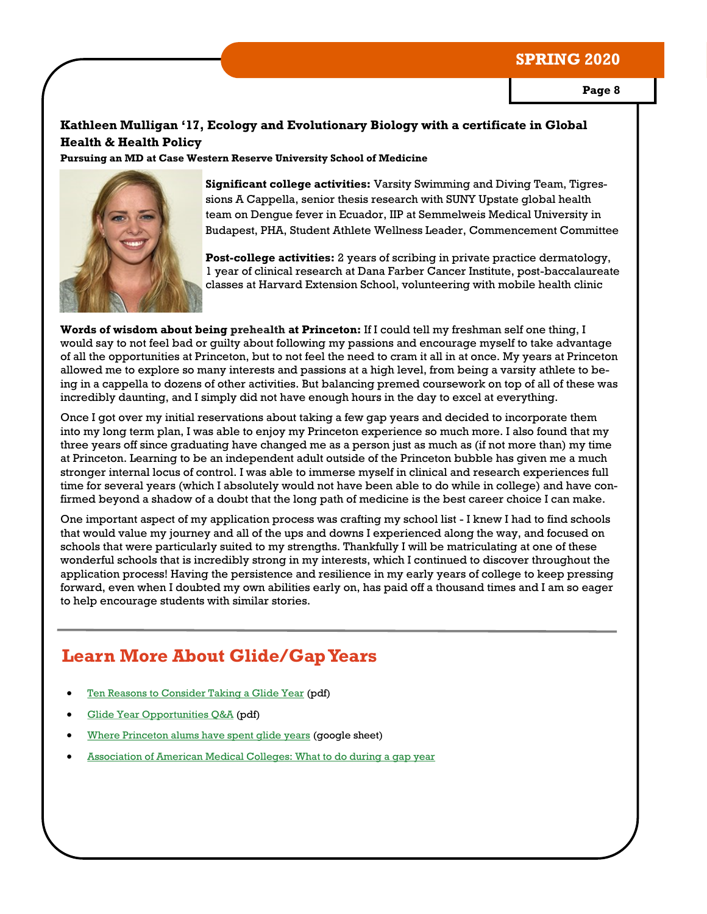**Page 8**

#### **Kathleen Mulligan '17, Ecology and Evolutionary Biology with a certificate in Global Health & Health Policy**

**Pursuing an MD at Case Western Reserve University School of Medicine**



**Significant college activities:** Varsity Swimming and Diving Team, Tigressions A Cappella, senior thesis research with SUNY Upstate global health team on Dengue fever in Ecuador, IIP at Semmelweis Medical University in Budapest, PHA, Student Athlete Wellness Leader, Commencement Committee

**Post-college activities:** 2 years of scribing in private practice dermatology, 1 year of clinical research at Dana Farber Cancer Institute, post-baccalaureate classes at Harvard Extension School, volunteering with mobile health clinic

**Words of wisdom about being prehealth at Princeton:** If I could tell my freshman self one thing, I would say to not feel bad or guilty about following my passions and encourage myself to take advantage of all the opportunities at Princeton, but to not feel the need to cram it all in at once. My years at Princeton allowed me to explore so many interests and passions at a high level, from being a varsity athlete to being in a cappella to dozens of other activities. But balancing premed coursework on top of all of these was incredibly daunting, and I simply did not have enough hours in the day to excel at everything.

Once I got over my initial reservations about taking a few gap years and decided to incorporate them into my long term plan, I was able to enjoy my Princeton experience so much more. I also found that my three years off since graduating have changed me as a person just as much as (if not more than) my time at Princeton. Learning to be an independent adult outside of the Princeton bubble has given me a much stronger internal locus of control. I was able to immerse myself in clinical and research experiences full time for several years (which I absolutely would not have been able to do while in college) and have confirmed beyond a shadow of a doubt that the long path of medicine is the best career choice I can make.

One important aspect of my application process was crafting my school list - I knew I had to find schools that would value my journey and all of the ups and downs I experienced along the way, and focused on schools that were particularly suited to my strengths. Thankfully I will be matriculating at one of these wonderful schools that is incredibly strong in my interests, which I continued to discover throughout the application process! Having the persistence and resilience in my early years of college to keep pressing forward, even when I doubted my own abilities early on, has paid off a thousand times and I am so eager to help encourage students with similar stories.

## **Learn More About Glide/Gap Years**

- [Ten Reasons to Consider Taking a Glide Year](https://hpa.princeton.edu/sites/hpa/files/2018hpa-glideyeartenreasons.pdf) (pdf)
- [Glide Year Opportunities Q&A](https://hpa.princeton.edu/sites/hpa/files/2019hpa-glideyearqa.pdf) (pdf)
- [Where Princeton alums have spent glide years](https://docs.google.com/spreadsheets/d/1E5bL6v6MNM_ntpVk9NcR1o1Vp203i83PU5E9ORDWM7o/edit?usp=sharing) (google sheet)
- [Association of American Medical Colleges: What to do during a gap year](https://students-residents.aamc.org/applying-medical-school/article/what-do-during-gap-years/)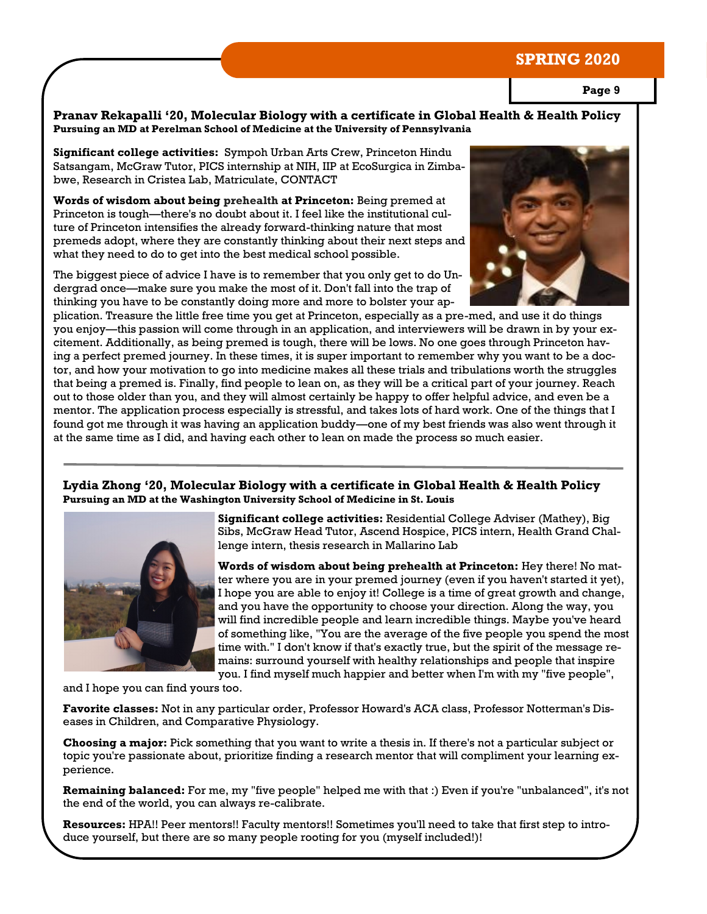**Page 9**

**Pranav Rekapalli '20, Molecular Biology with a certificate in Global Health & Health Policy Pursuing an MD at Perelman School of Medicine at the University of Pennsylvania**

**Significant college activities:** Sympoh Urban Arts Crew, Princeton Hindu Satsangam, McGraw Tutor, PICS internship at NIH, IIP at EcoSurgica in Zimbabwe, Research in Cristea Lab, Matriculate, CONTACT

**Words of wisdom about being prehealth at Princeton:** Being premed at Princeton is tough—there's no doubt about it. I feel like the institutional culture of Princeton intensifies the already forward-thinking nature that most premeds adopt, where they are constantly thinking about their next steps and what they need to do to get into the best medical school possible.

The biggest piece of advice I have is to remember that you only get to do Undergrad once—make sure you make the most of it. Don't fall into the trap of thinking you have to be constantly doing more and more to bolster your ap-



plication. Treasure the little free time you get at Princeton, especially as a pre-med, and use it do things you enjoy—this passion will come through in an application, and interviewers will be drawn in by your excitement. Additionally, as being premed is tough, there will be lows. No one goes through Princeton having a perfect premed journey. In these times, it is super important to remember why you want to be a doctor, and how your motivation to go into medicine makes all these trials and tribulations worth the struggles that being a premed is. Finally, find people to lean on, as they will be a critical part of your journey. Reach out to those older than you, and they will almost certainly be happy to offer helpful advice, and even be a mentor. The application process especially is stressful, and takes lots of hard work. One of the things that I found got me through it was having an application buddy—one of my best friends was also went through it at the same time as I did, and having each other to lean on made the process so much easier.

**Lydia Zhong '20, Molecular Biology with a certificate in Global Health & Health Policy Pursuing an MD at the Washington University School of Medicine in St. Louis**



**Significant college activities:** Residential College Adviser (Mathey), Big Sibs, McGraw Head Tutor, Ascend Hospice, PICS intern, Health Grand Challenge intern, thesis research in Mallarino Lab

**Words of wisdom about being prehealth at Princeton:** Hey there! No matter where you are in your premed journey (even if you haven't started it yet), I hope you are able to enjoy it! College is a time of great growth and change, and you have the opportunity to choose your direction. Along the way, you will find incredible people and learn incredible things. Maybe you've heard of something like, "You are the average of the five people you spend the most time with." I don't know if that's exactly true, but the spirit of the message remains: surround yourself with healthy relationships and people that inspire you. I find myself much happier and better when I'm with my "five people",

and I hope you can find yours too.

**Favorite classes:** Not in any particular order, Professor Howard's ACA class, Professor Notterman's Diseases in Children, and Comparative Physiology.

**Choosing a major:** Pick something that you want to write a thesis in. If there's not a particular subject or topic you're passionate about, prioritize finding a research mentor that will compliment your learning experience.

**Remaining balanced:** For me, my "five people" helped me with that :) Even if you're "unbalanced", it's not the end of the world, you can always re-calibrate.

**Resources:** HPA!! Peer mentors!! Faculty mentors!! Sometimes you'll need to take that first step to introduce yourself, but there are so many people rooting for you (myself included!)!